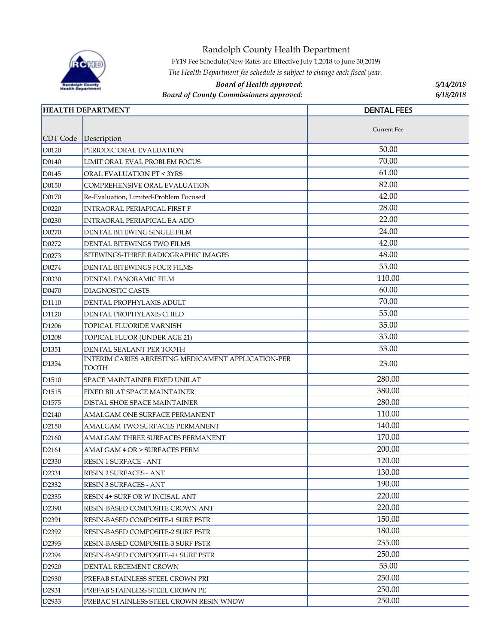

Randolph County Health Department

FY19 Fee Schedule(New Rates are Effective July 1,2018 to June 30,2019)

*The Health Department fee schedule is subject to change each fiscal year.*

## *Board of Health approved: 5/14/2018*

*Board of County Commissioners approved:* 

*6/18/2018*

| <b>HEALTH DEPARTMENT</b> |                                                                     | <b>DENTAL FEES</b> |
|--------------------------|---------------------------------------------------------------------|--------------------|
|                          |                                                                     |                    |
| CDT Code                 | Description                                                         | <b>Current Fee</b> |
| D0120                    | PERIODIC ORAL EVALUATION                                            | 50.00              |
| D0140                    | LIMIT ORAL EVAL PROBLEM FOCUS                                       | 70.00              |
| D0145                    | ORAL EVALUATION PT < 3YRS                                           | 61.00              |
| D0150                    | COMPREHENSIVE ORAL EVALUATION                                       | 82.00              |
| D0170                    | Re-Evaluation, Limited-Problem Focused                              | 42.00              |
| D0220                    | INTRAORAL PERIAPICAL FIRST F                                        | 28.00              |
| D0230                    | INTRAORAL PERIAPICAL EA ADD                                         | 22.00              |
| D0270                    | DENTAL BITEWING SINGLE FILM                                         | 24.00              |
| D0272                    | DENTAL BITEWINGS TWO FILMS                                          | 42.00              |
| D0273                    | BITEWINGS-THREE RADIOGRAPHIC IMAGES                                 | 48.00              |
| D0274                    | DENTAL BITEWINGS FOUR FILMS                                         | 55.00              |
| D0330                    | DENTAL PANORAMIC FILM                                               | 110.00             |
| D0470                    | DIAGNOSTIC CASTS                                                    | 60.00              |
| D1110                    | DENTAL PROPHYLAXIS ADULT                                            | 70.00              |
| D1120                    | DENTAL PROPHYLAXIS CHILD                                            | 55.00              |
| D <sub>1206</sub>        | TOPICAL FLUORIDE VARNISH                                            | 35.00              |
| D1208                    | TOPICAL FLUOR (UNDER AGE 21)                                        | 35.00              |
| D <sub>1351</sub>        | DENTAL SEALANT PER TOOTH                                            | 53.00              |
| D <sub>1354</sub>        | <b>INTERIM CARIES ARRESTING MEDICAMENT APPLICATION-PER</b><br>TOOTH | 23.00              |
| D <sub>1510</sub>        | SPACE MAINTAINER FIXED UNILAT                                       | 280.00             |
| D <sub>1515</sub>        | FIXED BILAT SPACE MAINTAINER                                        | 380.00             |
| D <sub>1575</sub>        | DISTAL SHOE SPACE MAINTAINER                                        | 280.00             |
| D2140                    | AMALGAM ONE SURFACE PERMANENT                                       | 110.00             |
| D2150                    | AMALGAM TWO SURFACES PERMANENT                                      | 140.00             |
| D2160                    | AMALGAM THREE SURFACES PERMANENT                                    | 170.00             |
| D2161                    | AMALGAM 4 OR > SURFACES PERM                                        | 200.00             |
| D2330                    | RESIN 1 SURFACE - ANT                                               | 120.00             |
| D <sub>2331</sub>        | <b>RESIN 2 SURFACES - ANT</b>                                       | 130.00             |
| D2332                    | RESIN 3 SURFACES - ANT                                              | 190.00             |
| D <sub>2335</sub>        | RESIN 4+ SURF OR W INCISAL ANT                                      | 220.00             |
| D <sub>2390</sub>        | RESIN-BASED COMPOSITE CROWN ANT                                     | 220.00             |
| D2391                    | RESIN-BASED COMPOSITE-1 SURF PSTR                                   | 150.00             |
| D <sub>2392</sub>        | RESIN-BASED COMPOSITE-2 SURF PSTR                                   | 180.00             |
| D2393                    | RESIN-BASED COMPOSITE-3 SURF PSTR                                   | 235.00             |
| D2394                    | RESIN-BASED COMPOSITE-4+ SURF PSTR                                  | 250.00             |
| D <sub>2920</sub>        | DENTAL RECEMENT CROWN                                               | 53.00              |
| D <sub>2930</sub>        | PREFAB STAINLESS STEEL CROWN PRI                                    | 250.00             |
| D2931                    | PREFAB STAINLESS STEEL CROWN PE                                     | 250.00             |
| D <sub>2933</sub>        | PREBAC STAINLESS STEEL CROWN RESIN WNDW                             | 250.00             |